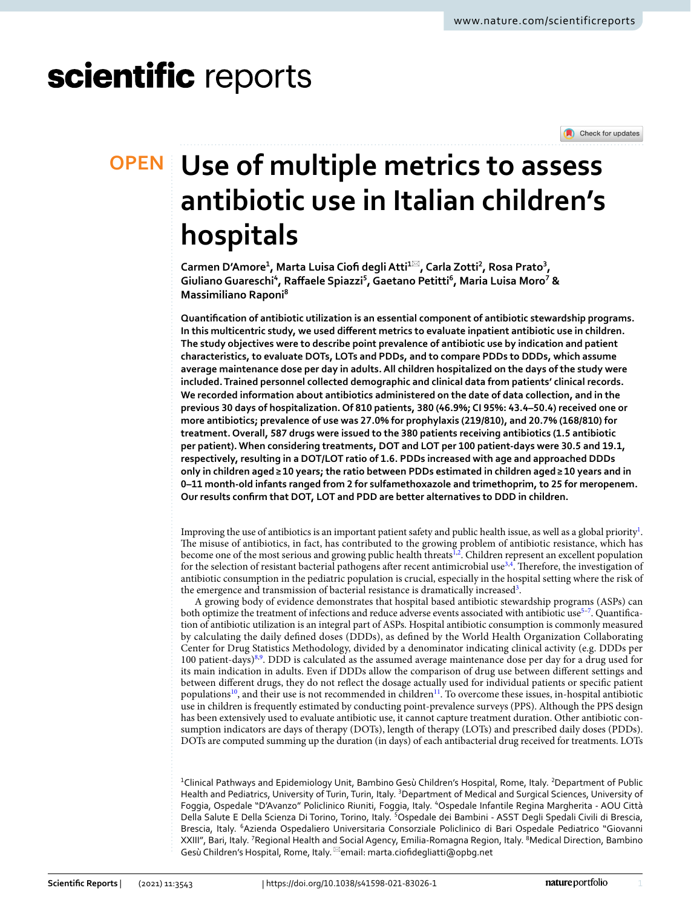# scientific reports

Check for updates

## **Use of multiple metrics to assess OPEN antibiotic use in Italian children's hospitals**

**Carmen D'Amore1 , Marta Luisa Ciof degliAtti1**\***, Carla Zotti2 , Rosa Prato3 , GiulianoGuareschi4 , Rafaele Spiazzi5 , Gaetano Petitti6 , Maria Luisa Moro7 & Massimiliano Raponi8**

**Quantifcation of antibiotic utilization is an essential component of antibiotic stewardship programs. In this multicentric study, we used diferent metrics to evaluate inpatient antibiotic use in children. The study objectives were to describe point prevalence of antibiotic use by indication and patient characteristics, to evaluate DOTs, LOTs and PDDs, and to compare PDDs to DDDs, which assume average maintenance dose per day in adults. All children hospitalized on the days of the study were included. Trained personnel collected demographic and clinical data from patients' clinical records. We recorded information about antibiotics administered on the date of data collection, and in the previous 30 days of hospitalization. Of 810 patients, 380 (46.9%; CI 95%: 43.4–50.4) received one or more antibiotics; prevalence of use was 27.0% for prophylaxis (219/810), and 20.7% (168/810) for treatment. Overall, 587 drugs were issued to the 380 patients receiving antibiotics (1.5 antibiotic per patient). When considering treatments, DOT and LOT per 100 patient-days were 30.5 and 19.1, respectively, resulting in a DOT/LOT ratio of 1.6. PDDs increased with age and approached DDDs only in children aged≥ 10 years; the ratio between PDDs estimated in children aged≥ 10 years and in 0–11 month-old infants ranged from 2 for sulfamethoxazole and trimethoprim, to 25 for meropenem. Our results confrm that DOT, LOT and PDD are better alternatives to DDD in children.**

Improving the use of antibiotics is an important patient safety and public health issue, as well as a global priority $^{\rm l}$ . The misuse of antibiotics, in fact, has contributed to the growing problem of antibiotic resistance, which has become one of the most serious and growing public health threats<sup>1[,2](#page-6-1)</sup>. Children represent an excellent population for the selection of resistant bacterial pathogens after recent antimicrobial use<sup>3[,4](#page-6-3)</sup>. Therefore, the investigation of antibiotic consumption in the pediatric population is crucial, especially in the hospital setting where the risk of the emergence and transmission of bacterial resistance is dramatically increased<sup>[3](#page-6-2)</sup>.

A growing body of evidence demonstrates that hospital based antibiotic stewardship programs (ASPs) can both optimize the treatment of infections and reduce adverse events associated with antibiotic use $^{5-7}$  $^{5-7}$  $^{5-7}$ . Quantification of antibiotic utilization is an integral part of ASPs. Hospital antibiotic consumption is commonly measured by calculating the daily defned doses (DDDs), as defned by the World Health Organization Collaborating Center for Drug Statistics Methodology, divided by a denominator indicating clinical activity (e.g. DDDs per 100 patient-days)[8](#page-6-6),[9](#page-6-7) . DDD is calculated as the assumed average maintenance dose per day for a drug used for its main indication in adults. Even if DDDs allow the comparison of drug use between diferent settings and between diferent drugs, they do not refect the dosage actually used for individual patients or specifc patient populations<sup>10</sup>, and their use is not recommended in children<sup>11</sup>. To overcome these issues, in-hospital antibiotic use in children is frequently estimated by conducting point-prevalence surveys (PPS). Although the PPS design has been extensively used to evaluate antibiotic use, it cannot capture treatment duration. Other antibiotic consumption indicators are days of therapy (DOTs), length of therapy (LOTs) and prescribed daily doses (PDDs). DOTs are computed summing up the duration (in days) of each antibacterial drug received for treatments. LOTs

<sup>1</sup>Clinical Pathways and Epidemiology Unit, Bambino Gesù Children's Hospital, Rome, Italy. <sup>2</sup>Department of Public Health and Pediatrics, University of Turin, Turin, Italy. <sup>3</sup>Department of Medical and Surgical Sciences, University of Foggia, Ospedale "D'Avanzo" Policlinico Riuniti, Foggia, Italy. <sup>4</sup>Ospedale Infantile Regina Margherita - AOU Città Della Salute E Della Scienza Di Torino, Torino, Italy. <sup>5</sup>Ospedale dei Bambini - ASST Degli Spedali Civili di Brescia, Brescia, Italy. <sup>6</sup>Azienda Ospedaliero Universitaria Consorziale Policlinico di Bari Ospedale Pediatrico "Giovanni XXIII", Bari, Italy. <sup>7</sup>Regional Health and Social Agency, Emilia-Romagna Region, Italy. <sup>8</sup>Medical Direction, Bambino Gesù Children's Hospital, Rome, Italy. <sup>⊠</sup>email: marta.ciofidegliatti@opbg.net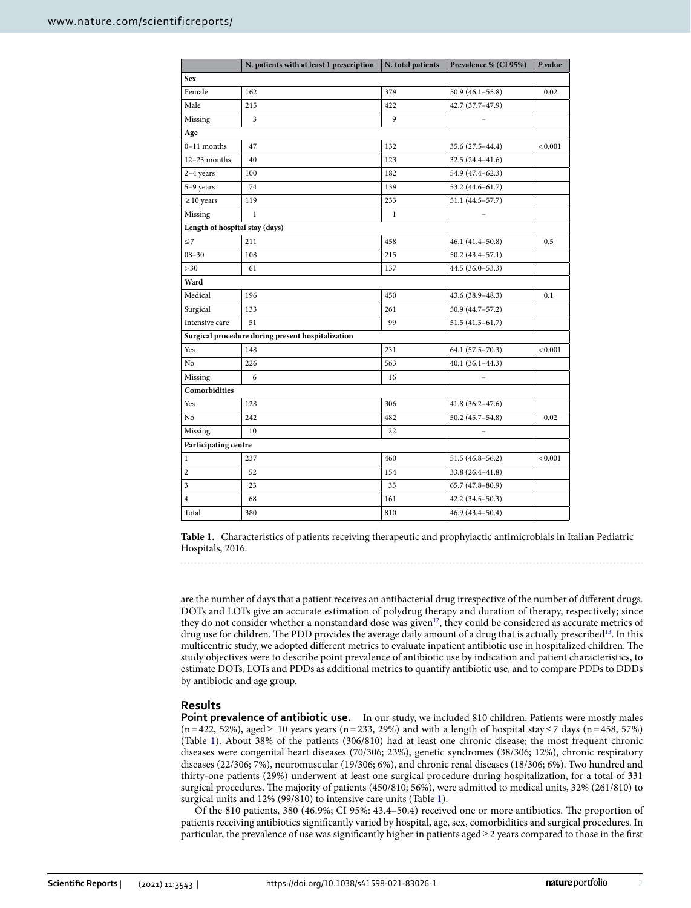|                                | N. patients with at least 1 prescription          | N. total patients | Prevalence % (CI 95%) | P value |  |  |  |  |
|--------------------------------|---------------------------------------------------|-------------------|-----------------------|---------|--|--|--|--|
| <b>Sex</b>                     |                                                   |                   |                       |         |  |  |  |  |
| Female                         | 162                                               | 379               | $50.9(46.1 - 55.8)$   | 0.02    |  |  |  |  |
| Male                           | 215                                               | 422               | $42.7(37.7-47.9)$     |         |  |  |  |  |
| Missing                        | 3                                                 | 9                 |                       |         |  |  |  |  |
| Age                            |                                                   |                   |                       |         |  |  |  |  |
| $0-11$ months                  | 47                                                | 132               | 35.6 (27.5-44.4)      | < 0.001 |  |  |  |  |
| $12-23$ months                 | 40                                                | 123               | $32.5(24.4 - 41.6)$   |         |  |  |  |  |
| $2-4$ years                    | 100                                               | 182               | 54.9 (47.4-62.3)      |         |  |  |  |  |
| 5-9 years                      | 74                                                | 139               | 53.2 (44.6-61.7)      |         |  |  |  |  |
| $\geq$ 10 years                | 119                                               | 233               | 51.1 (44.5-57.7)      |         |  |  |  |  |
| Missing                        | $\mathbf{1}$                                      | $\mathbf{1}$      |                       |         |  |  |  |  |
| Length of hospital stay (days) |                                                   |                   |                       |         |  |  |  |  |
| $\leq 7$                       | 211                                               | 458               | $46.1 (41.4 - 50.8)$  | 0.5     |  |  |  |  |
| $08 - 30$                      | 108                                               | 215               | $50.2(43.4 - 57.1)$   |         |  |  |  |  |
| > 30                           | 61                                                | 137               | $44.5(36.0-53.3)$     |         |  |  |  |  |
| Ward                           |                                                   |                   |                       |         |  |  |  |  |
| Medical                        | 196                                               | 450               | 43.6 (38.9 - 48.3)    | 0.1     |  |  |  |  |
| Surgical                       | 133                                               | 261               | 50.9 (44.7-57.2)      |         |  |  |  |  |
| Intensive care                 | 51                                                | 99                | $51.5(41.3 - 61.7)$   |         |  |  |  |  |
|                                | Surgical procedure during present hospitalization |                   |                       |         |  |  |  |  |
| Yes                            | 148                                               | 231               | 64.1 (57.5-70.3)      | < 0.001 |  |  |  |  |
| No                             | 226                                               | 563               | $40.1(36.1-44.3)$     |         |  |  |  |  |
| Missing                        | 6                                                 | 16                |                       |         |  |  |  |  |
| Comorbidities                  |                                                   |                   |                       |         |  |  |  |  |
| Yes                            | 128                                               | 306               | $41.8(36.2 - 47.6)$   |         |  |  |  |  |
| N <sub>o</sub>                 | 242                                               | 482               | $50.2(45.7 - 54.8)$   | 0.02    |  |  |  |  |
| Missing                        | 10                                                | 22                |                       |         |  |  |  |  |
| Participating centre           |                                                   |                   |                       |         |  |  |  |  |
| 1                              | 237                                               | 460               | $51.5(46.8 - 56.2)$   | < 0.001 |  |  |  |  |
| $\overline{\mathbf{c}}$        | 52                                                | 154               | $33.8(26.4 - 41.8)$   |         |  |  |  |  |
| 3                              | 23                                                | 35                | $65.7(47.8 - 80.9)$   |         |  |  |  |  |
| $\overline{4}$                 | 68                                                | 161               | $42.2(34.5-50.3)$     |         |  |  |  |  |
| Total                          | 380                                               | 810               | $46.9(43.4 - 50.4)$   |         |  |  |  |  |

<span id="page-1-0"></span>**Table 1.** Characteristics of patients receiving therapeutic and prophylactic antimicrobials in Italian Pediatric Hospitals, 2016.

are the number of days that a patient receives an antibacterial drug irrespective of the number of diferent drugs. DOTs and LOTs give an accurate estimation of polydrug therapy and duration of therapy, respectively; since they do not consider whether a nonstandard dose was given<sup>12</sup>, they could be considered as accurate metrics of drug use for children. The PDD provides the average daily amount of a drug that is actually prescribed<sup>13</sup>. In this multicentric study, we adopted different metrics to evaluate inpatient antibiotic use in hospitalized children. The study objectives were to describe point prevalence of antibiotic use by indication and patient characteristics, to estimate DOTs, LOTs and PDDs as additional metrics to quantify antibiotic use, and to compare PDDs to DDDs by antibiotic and age group.

#### **Results**

**Point prevalence of antibiotic use.** In our study, we included 810 children. Patients were mostly males  $(n=422, 52\%)$ , aged ≥ 10 years years  $(n=233, 29\%)$  and with a length of hospital stay ≤7 days  $(n=458, 57\%)$ (Table [1\)](#page-1-0). About 38% of the patients (306/810) had at least one chronic disease; the most frequent chronic diseases were congenital heart diseases (70/306; 23%), genetic syndromes (38/306; 12%), chronic respiratory diseases (22/306; 7%), neuromuscular (19/306; 6%), and chronic renal diseases (18/306; 6%). Two hundred and thirty-one patients (29%) underwent at least one surgical procedure during hospitalization, for a total of 331 surgical procedures. The majority of patients (450/810; 56%), were admitted to medical units, 32% (261/810) to surgical units and 12% (99/810) to intensive care units (Table [1](#page-1-0)).

Of the 810 patients, 380 (46.9%; CI 95%: 43.4–50.4) received one or more antibiotics. The proportion of patients receiving antibiotics signifcantly varied by hospital, age, sex, comorbidities and surgical procedures. In particular, the prevalence of use was signifcantly higher in patients aged≥2 years compared to those in the frst

2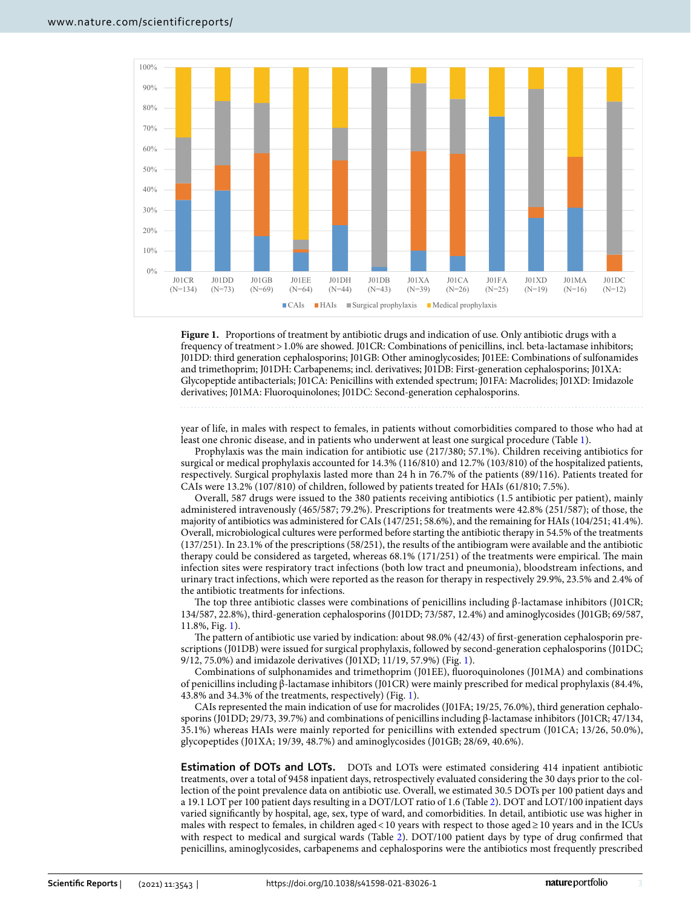

<span id="page-2-0"></span>**Figure 1.** Proportions of treatment by antibiotic drugs and indication of use. Only antibiotic drugs with a frequency of treatment>1.0% are showed. J01CR: Combinations of penicillins, incl. beta-lactamase inhibitors; J01DD: third generation cephalosporins; J01GB: Other aminoglycosides; J01EE: Combinations of sulfonamides and trimethoprim; J01DH: Carbapenems; incl. derivatives; J01DB: First-generation cephalosporins; J01XA: Glycopeptide antibacterials; J01CA: Penicillins with extended spectrum; J01FA: Macrolides; J01XD: Imidazole derivatives; J01MA: Fluoroquinolones; J01DC: Second-generation cephalosporins.

year of life, in males with respect to females, in patients without comorbidities compared to those who had at least one chronic disease, and in patients who underwent at least one surgical procedure (Table [1](#page-1-0)).

Prophylaxis was the main indication for antibiotic use (217/380; 57.1%). Children receiving antibiotics for surgical or medical prophylaxis accounted for 14.3% (116/810) and 12.7% (103/810) of the hospitalized patients, respectively. Surgical prophylaxis lasted more than 24 h in 76.7% of the patients (89/116). Patients treated for CAIs were 13.2% (107/810) of children, followed by patients treated for HAIs (61/810; 7.5%).

Overall, 587 drugs were issued to the 380 patients receiving antibiotics (1.5 antibiotic per patient), mainly administered intravenously (465/587; 79.2%). Prescriptions for treatments were 42.8% (251/587); of those, the majority of antibiotics was administered for CAIs (147/251; 58.6%), and the remaining for HAIs (104/251; 41.4%). Overall, microbiological cultures were performed before starting the antibiotic therapy in 54.5% of the treatments (137/251). In 23.1% of the prescriptions (58/251), the results of the antibiogram were available and the antibiotic therapy could be considered as targeted, whereas  $68.1\%$  (171/251) of the treatments were empirical. The main infection sites were respiratory tract infections (both low tract and pneumonia), bloodstream infections, and urinary tract infections, which were reported as the reason for therapy in respectively 29.9%, 23.5% and 2.4% of the antibiotic treatments for infections.

The top three antibiotic classes were combinations of penicillins including β-lactamase inhibitors (J01CR; 134/587, 22.8%), third-generation cephalosporins (J01DD; 73/587, 12.4%) and aminoglycosides (J01GB; 69/587, 11.8%, Fig. [1\)](#page-2-0).

The pattern of antibiotic use varied by indication: about 98.0% (42/43) of first-generation cephalosporin prescriptions (J01DB) were issued for surgical prophylaxis, followed by second-generation cephalosporins (J01DC; 9/12, 75.0%) and imidazole derivatives (J01XD; 11/19, 57.9%) (Fig. [1](#page-2-0)).

Combinations of sulphonamides and trimethoprim (J01EE), fuoroquinolones (J01MA) and combinations of penicillins including β-lactamase inhibitors (J01CR) were mainly prescribed for medical prophylaxis (84.4%, 43.8% and 34.3% of the treatments, respectively) (Fig. [1](#page-2-0)).

CAIs represented the main indication of use for macrolides (J01FA; 19/25, 76.0%), third generation cephalosporins (J01DD; 29/73, 39.7%) and combinations of penicillins including β-lactamase inhibitors (J01CR; 47/134, 35.1%) whereas HAIs were mainly reported for penicillins with extended spectrum (J01CA; 13/26, 50.0%), glycopeptides (J01XA; 19/39, 48.7%) and aminoglycosides (J01GB; 28/69, 40.6%).

**Estimation of DOTs and LOTs.** DOTs and LOTs were estimated considering 414 inpatient antibiotic treatments, over a total of 9458 inpatient days, retrospectively evaluated considering the 30 days prior to the collection of the point prevalence data on antibiotic use. Overall, we estimated 30.5 DOTs per 100 patient days and a 19.1 LOT per 100 patient days resulting in a DOT/LOT ratio of 1.6 (Table [2\)](#page-3-0). DOT and LOT/100 inpatient days varied signifcantly by hospital, age, sex, type of ward, and comorbidities. In detail, antibiotic use was higher in males with respect to females, in children aged<10 years with respect to those aged≥10 years and in the ICUs with respect to medical and surgical wards (Table [2\)](#page-3-0). DOT/100 patient days by type of drug confrmed that penicillins, aminoglycosides, carbapenems and cephalosporins were the antibiotics most frequently prescribed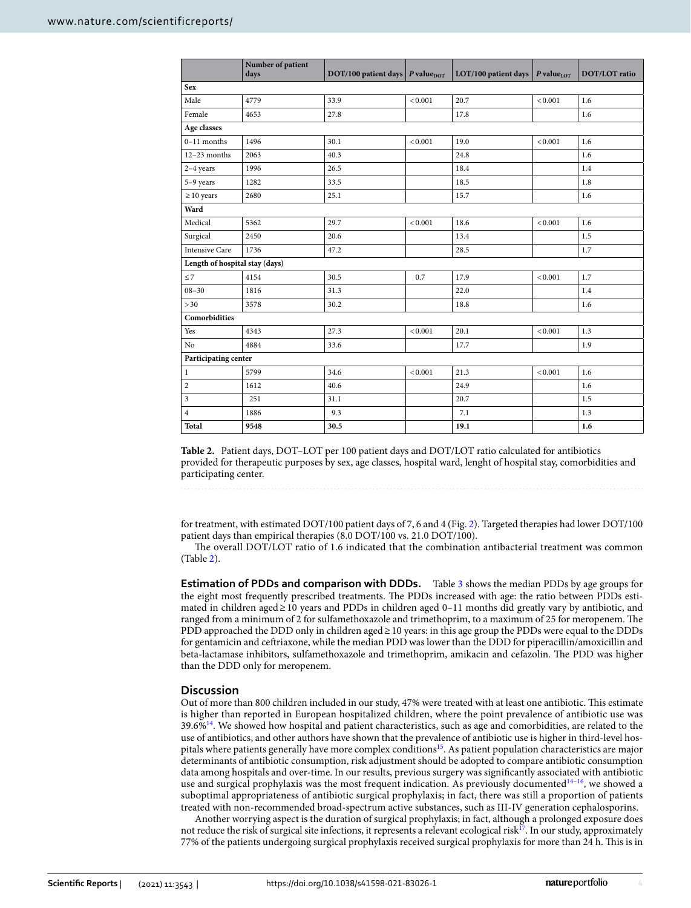|                                | Number of patient<br>days | DOT/100 patient days $\overline{P}$ value <sub>DOT</sub> |         | LOT/100 patient days   P value <sub>10T</sub> |         | DOT/LOT ratio |  |  |  |
|--------------------------------|---------------------------|----------------------------------------------------------|---------|-----------------------------------------------|---------|---------------|--|--|--|
| <b>Sex</b>                     |                           |                                                          |         |                                               |         |               |  |  |  |
| Male                           | 4779                      | 33.9                                                     | < 0.001 | 20.7                                          | < 0.001 | 1.6           |  |  |  |
| Female                         | 4653                      | 27.8                                                     |         | 17.8                                          |         | 1.6           |  |  |  |
| Age classes                    |                           |                                                          |         |                                               |         |               |  |  |  |
| $0-11$ months                  | 1496                      | 30.1                                                     | < 0.001 | 19.0                                          | < 0.001 | 1.6           |  |  |  |
| $12-23$ months                 | 2063                      | 40.3                                                     |         | 24.8                                          |         | 1.6           |  |  |  |
| $2-4$ years                    | 1996                      | 26.5                                                     |         | 18.4                                          |         | 1.4           |  |  |  |
| 5-9 years                      | 1282                      | 33.5                                                     |         | 18.5                                          |         | 1.8           |  |  |  |
| $\geq$ 10 years                | 2680                      | 25.1                                                     |         | 15.7                                          |         | 1.6           |  |  |  |
| Ward                           |                           |                                                          |         |                                               |         |               |  |  |  |
| Medical                        | 5362                      | 29.7                                                     | < 0.001 | 18.6                                          | < 0.001 | 1.6           |  |  |  |
| Surgical                       | 2450                      | 20.6                                                     |         | 13.4                                          |         | 1.5           |  |  |  |
| <b>Intensive Care</b>          | 1736                      | 47.2                                                     |         | 28.5                                          |         | 1.7           |  |  |  |
| Length of hospital stay (days) |                           |                                                          |         |                                               |         |               |  |  |  |
| $\leq 7$                       | 4154                      | 30.5                                                     | 0.7     | 17.9                                          | < 0.001 | 1.7           |  |  |  |
| $08 - 30$                      | 1816                      | 31.3                                                     |         | 22.0                                          |         | 1.4           |  |  |  |
| > 30                           | 3578                      | 30.2                                                     |         | 18.8                                          |         | 1.6           |  |  |  |
| Comorbidities                  |                           |                                                          |         |                                               |         |               |  |  |  |
| Yes                            | 4343                      | 27.3                                                     | < 0.001 | 20.1                                          | < 0.001 | 1.3           |  |  |  |
| No                             | 4884                      | 33.6                                                     |         | 17.7                                          |         | 1.9           |  |  |  |
| Participating center           |                           |                                                          |         |                                               |         |               |  |  |  |
| $\mathbf{1}$                   | 5799                      | 34.6                                                     | < 0.001 | 21.3                                          | < 0.001 | 1.6           |  |  |  |
| $\overline{c}$                 | 1612                      | 40.6                                                     |         | 24.9                                          |         | 1.6           |  |  |  |
| 3                              | 251                       | 31.1                                                     |         | 20.7                                          |         | 1.5           |  |  |  |
| $\overline{4}$                 | 1886                      | 9.3                                                      |         | 7.1                                           |         | 1.3           |  |  |  |
| Total                          | 9548                      | 30.5                                                     |         | 19.1                                          |         | 1.6           |  |  |  |

<span id="page-3-0"></span>**Table 2.** Patient days, DOT–LOT per 100 patient days and DOT/LOT ratio calculated for antibiotics provided for therapeutic purposes by sex, age classes, hospital ward, lenght of hospital stay, comorbidities and participating center.

for treatment, with estimated DOT/100 patient days of 7, 6 and 4 (Fig. [2](#page-4-0)). Targeted therapies had lower DOT/100 patient days than empirical therapies (8.0 DOT/100 vs. 21.0 DOT/100).

The overall DOT/LOT ratio of 1.6 indicated that the combination antibacterial treatment was common (Table [2\)](#page-3-0).

**Estimation of PDDs and comparison with DDDs.** Table [3](#page-4-1) shows the median PDDs by age groups for the eight most frequently prescribed treatments. The PDDs increased with age: the ratio between PDDs estimated in children aged≥10 years and PDDs in children aged 0–11 months did greatly vary by antibiotic, and ranged from a minimum of 2 for sulfamethoxazole and trimethoprim, to a maximum of 25 for meropenem. The PDD approached the DDD only in children aged≥10 years: in this age group the PDDs were equal to the DDDs for gentamicin and cefriaxone, while the median PDD was lower than the DDD for piperacillin/amoxicillin and beta-lactamase inhibitors, sulfamethoxazole and trimethoprim, amikacin and cefazolin. The PDD was higher than the DDD only for meropenem.

#### **Discussion**

Out of more than 800 children included in our study, 47% were treated with at least one antibiotic. Tis estimate is higher than reported in European hospitalized children, where the point prevalence of antibiotic use was  $39.6\%$ <sup>14</sup>. We showed how hospital and patient characteristics, such as age and comorbidities, are related to the use of antibiotics, and other authors have shown that the prevalence of antibiotic use is higher in third-level hos-pitals where patients generally have more complex conditions<sup>[15](#page-6-13)</sup>. As patient population characteristics are major determinants of antibiotic consumption, risk adjustment should be adopted to compare antibiotic consumption data among hospitals and over-time. In our results, previous surgery was signifcantly associated with antibiotic use and surgical prophylaxis was the most frequent indication. As previously documented $14-16$  $14-16$ , we showed a suboptimal appropriateness of antibiotic surgical prophylaxis; in fact, there was still a proportion of patients treated with non-recommended broad-spectrum active substances, such as III-IV generation cephalosporins.

Another worrying aspect is the duration of surgical prophylaxis; in fact, although a prolonged exposure does not reduce the risk of surgical site infections, it represents a relevant ecological risk<sup>17</sup>. In our study, approximately 77% of the patients undergoing surgical prophylaxis received surgical prophylaxis for more than 24 h. Tis is in

4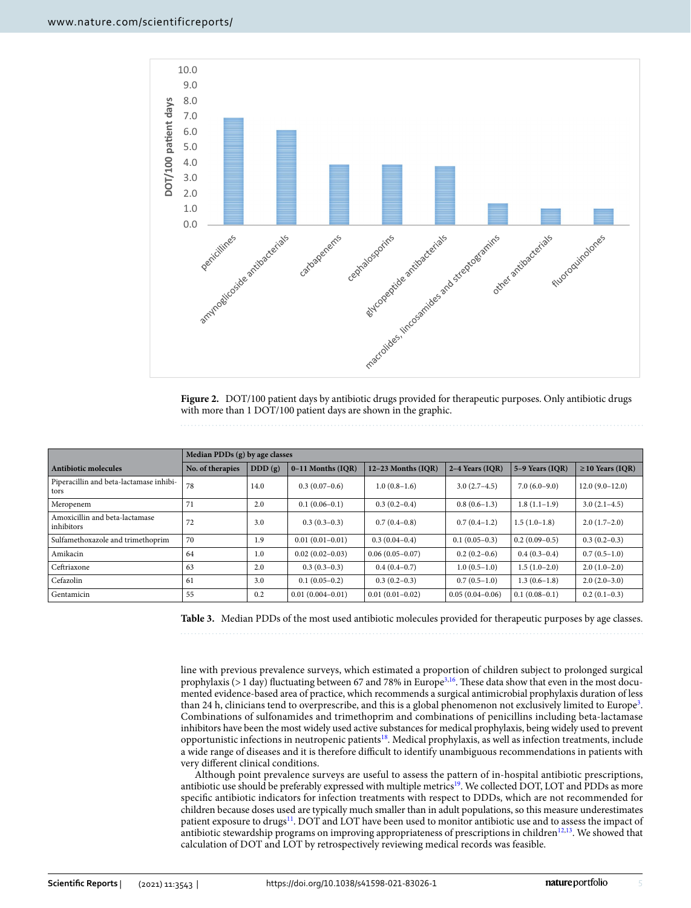

<span id="page-4-0"></span>**Figure 2.** DOT/100 patient days by antibiotic drugs provided for therapeutic purposes. Only antibiotic drugs with more than 1 DOT/100 patient days are shown in the graphic.

|                                                 | Median PDDs (g) by age classes |        |                      |                     |                     |                   |                       |  |
|-------------------------------------------------|--------------------------------|--------|----------------------|---------------------|---------------------|-------------------|-----------------------|--|
| Antibiotic molecules                            | No. of therapies               | DDD(g) | $0-11$ Months (IQR)  | 12-23 Months (IQR)  | 2-4 Years (IOR)     | $5-9$ Years (IOR) | $\geq$ 10 Years (IQR) |  |
| Piperacillin and beta-lactamase inhibi-<br>tors | 78                             | 14.0   | $0.3(0.07-0.6)$      | $1.0(0.8-1.6)$      | $3.0(2.7-4.5)$      | $7.0(6.0-9.0)$    | $12.0(9.0-12.0)$      |  |
| Meropenem                                       | 71                             | 2.0    | $0.1(0.06-0.1)$      | $0.3(0.2-0.4)$      | $0.8(0.6-1.3)$      | $1.8(1.1-1.9)$    | $3.0(2.1-4.5)$        |  |
| Amoxicillin and beta-lactamase<br>inhibitors    | 72                             | 3.0    | $0.3(0.3-0.3)$       | $0.7(0.4-0.8)$      | $0.7(0.4-1.2)$      | $1.5(1.0-1.8)$    | $2.0(1.7-2.0)$        |  |
| Sulfamethoxazole and trimethoprim               | 70                             | 1.9    | $0.01(0.01 - 0.01)$  | $0.3(0.04-0.4)$     | $0.1(0.05-0.3)$     | $0.2(0.09-0.5)$   | $0.3(0.2-0.3)$        |  |
| Amikacin                                        | 64                             | 1.0    | $0.02(0.02-0.03)$    | $0.06(0.05 - 0.07)$ | $0.2(0.2-0.6)$      | $0.4(0.3-0.4)$    | $0.7(0.5-1.0)$        |  |
| Ceftriaxone                                     | 63                             | 2.0    | $0.3(0.3-0.3)$       | $0.4(0.4-0.7)$      | $1.0(0.5-1.0)$      | $1.5(1.0-2.0)$    | $2.0(1.0-2.0)$        |  |
| Cefazolin                                       | 61                             | 3.0    | $0.1(0.05-0.2)$      | $0.3(0.2-0.3)$      | $0.7(0.5-1.0)$      | $1.3(0.6-1.8)$    | $2.0(2.0-3.0)$        |  |
| Gentamicin                                      | 55                             | 0.2    | $0.01(0.004 - 0.01)$ | $0.01(0.01 - 0.02)$ | $0.05(0.04 - 0.06)$ | $0.1(0.08-0.1)$   | $0.2(0.1-0.3)$        |  |

<span id="page-4-1"></span>**Table 3.** Median PDDs of the most used antibiotic molecules provided for therapeutic purposes by age classes.

line with previous prevalence surveys, which estimated a proportion of children subject to prolonged surgical prophylaxis ( $>1$  day) fluctuating between 67 and 78% in Europe<sup>[3,](#page-6-2)16</sup>. These data show that even in the most documented evidence-based area of practice, which recommends a surgical antimicrobial prophylaxis duration of less than 24 h, clinicians tend to overprescribe, and this is a global phenomenon not exclusively limited to Europe<sup>3</sup>. Combinations of sulfonamides and trimethoprim and combinations of penicillins including beta-lactamase inhibitors have been the most widely used active substances for medical prophylaxis, being widely used to prevent opportunistic infections in neutropenic patients[18](#page-6-16). Medical prophylaxis, as well as infection treatments, include a wide range of diseases and it is therefore difficult to identify unambiguous recommendations in patients with very diferent clinical conditions.

Although point prevalence surveys are useful to assess the pattern of in-hospital antibiotic prescriptions, antibiotic use should be preferably expressed with multiple metrics<sup>19</sup>. We collected DOT, LOT and PDDs as more specifc antibiotic indicators for infection treatments with respect to DDDs, which are not recommended for children because doses used are typically much smaller than in adult populations, so this measure underestimates patient exposure to drugs<sup>11</sup>. DOT and LOT have been used to monitor antibiotic use and to assess the impact of antibiotic stewardship programs on improving appropriateness of prescriptions in children<sup>[12](#page-6-10),[13](#page-6-11)</sup>. We showed that calculation of DOT and LOT by retrospectively reviewing medical records was feasible.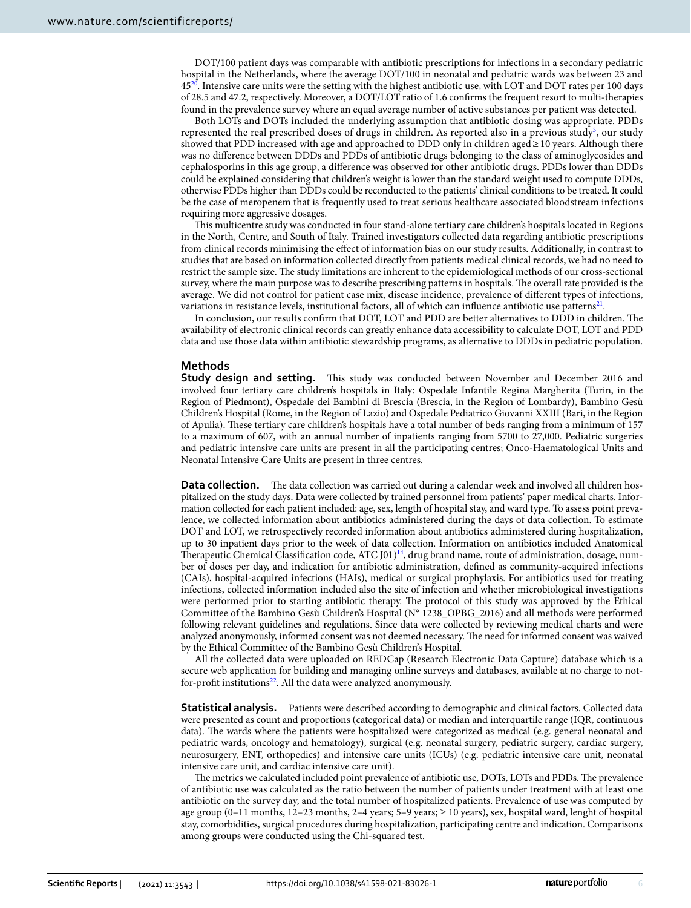DOT/100 patient days was comparable with antibiotic prescriptions for infections in a secondary pediatric hospital in the Netherlands, where the average DOT/100 in neonatal and pediatric wards was between 23 and 45<sup>[20](#page-6-18)</sup>. Intensive care units were the setting with the highest antibiotic use, with LOT and DOT rates per 100 days of 28.5 and 47.2, respectively. Moreover, a DOT/LOT ratio of 1.6 confrms the frequent resort to multi-therapies found in the prevalence survey where an equal average number of active substances per patient was detected.

Both LOTs and DOTs included the underlying assumption that antibiotic dosing was appropriate. PDDs represented the real prescribed doses of drugs in children. As reported also in a previous study<sup>3</sup>, our study showed that PDD increased with age and approached to DDD only in children aged≥10 years. Although there was no diference between DDDs and PDDs of antibiotic drugs belonging to the class of aminoglycosides and cephalosporins in this age group, a diference was observed for other antibiotic drugs. PDDs lower than DDDs could be explained considering that children's weight is lower than the standard weight used to compute DDDs, otherwise PDDs higher than DDDs could be reconducted to the patients' clinical conditions to be treated. It could be the case of meropenem that is frequently used to treat serious healthcare associated bloodstream infections requiring more aggressive dosages.

Tis multicentre study was conducted in four stand-alone tertiary care children's hospitals located in Regions in the North, Centre, and South of Italy. Trained investigators collected data regarding antibiotic prescriptions from clinical records minimising the efect of information bias on our study results. Additionally, in contrast to studies that are based on information collected directly from patients medical clinical records, we had no need to restrict the sample size. The study limitations are inherent to the epidemiological methods of our cross-sectional survey, where the main purpose was to describe prescribing patterns in hospitals. The overall rate provided is the average. We did not control for patient case mix, disease incidence, prevalence of diferent types of infections, variations in resistance levels, institutional factors, all of which can influence antibiotic use patterns<sup>21</sup>.

In conclusion, our results confirm that DOT, LOT and PDD are better alternatives to DDD in children. The availability of electronic clinical records can greatly enhance data accessibility to calculate DOT, LOT and PDD data and use those data within antibiotic stewardship programs, as alternative to DDDs in pediatric population.

#### **Methods**

**Study design and setting.** This study was conducted between November and December 2016 and involved four tertiary care children's hospitals in Italy: Ospedale Infantile Regina Margherita (Turin, in the Region of Piedmont), Ospedale dei Bambini di Brescia (Brescia, in the Region of Lombardy), Bambino Gesù Children's Hospital (Rome, in the Region of Lazio) and Ospedale Pediatrico Giovanni XXIII (Bari, in the Region of Apulia). Tese tertiary care children's hospitals have a total number of beds ranging from a minimum of 157 to a maximum of 607, with an annual number of inpatients ranging from 5700 to 27,000. Pediatric surgeries and pediatric intensive care units are present in all the participating centres; Onco-Haematological Units and Neonatal Intensive Care Units are present in three centres.

**Data collection.** The data collection was carried out during a calendar week and involved all children hospitalized on the study days. Data were collected by trained personnel from patients' paper medical charts. Information collected for each patient included: age, sex, length of hospital stay, and ward type. To assess point prevalence, we collected information about antibiotics administered during the days of data collection. To estimate DOT and LOT, we retrospectively recorded information about antibiotics administered during hospitalization, up to 30 inpatient days prior to the week of data collection. Information on antibiotics included Anatomical Therapeutic Chemical Classification code, ATC  $J01$ <sup>14</sup>, drug brand name, route of administration, dosage, number of doses per day, and indication for antibiotic administration, defned as community-acquired infections (CAIs), hospital-acquired infections (HAIs), medical or surgical prophylaxis. For antibiotics used for treating infections, collected information included also the site of infection and whether microbiological investigations were performed prior to starting antibiotic therapy. The protocol of this study was approved by the Ethical Committee of the Bambino Gesù Children's Hospital (N° 1238\_OPBG\_2016) and all methods were performed following relevant guidelines and regulations. Since data were collected by reviewing medical charts and were analyzed anonymously, informed consent was not deemed necessary. The need for informed consent was waived by the Ethical Committee of the Bambino Gesù Children's Hospital.

All the collected data were uploaded on REDCap (Research Electronic Data Capture) database which is a secure web application for building and managing online surveys and databases, available at no charge to not-for-profit institutions<sup>[22](#page-6-20)</sup>. All the data were analyzed anonymously.

**Statistical analysis.** Patients were described according to demographic and clinical factors. Collected data were presented as count and proportions (categorical data) or median and interquartile range (IQR, continuous data). The wards where the patients were hospitalized were categorized as medical (e.g. general neonatal and pediatric wards, oncology and hematology), surgical (e.g. neonatal surgery, pediatric surgery, cardiac surgery, neurosurgery, ENT, orthopedics) and intensive care units (ICUs) (e.g. pediatric intensive care unit, neonatal intensive care unit, and cardiac intensive care unit).

The metrics we calculated included point prevalence of antibiotic use, DOTs, LOTs and PDDs. The prevalence of antibiotic use was calculated as the ratio between the number of patients under treatment with at least one antibiotic on the survey day, and the total number of hospitalized patients. Prevalence of use was computed by age group (0–11 months, 12–23 months, 2–4 years; 5–9 years; ≥ 10 years), sex, hospital ward, lenght of hospital stay, comorbidities, surgical procedures during hospitalization, participating centre and indication. Comparisons among groups were conducted using the Chi-squared test.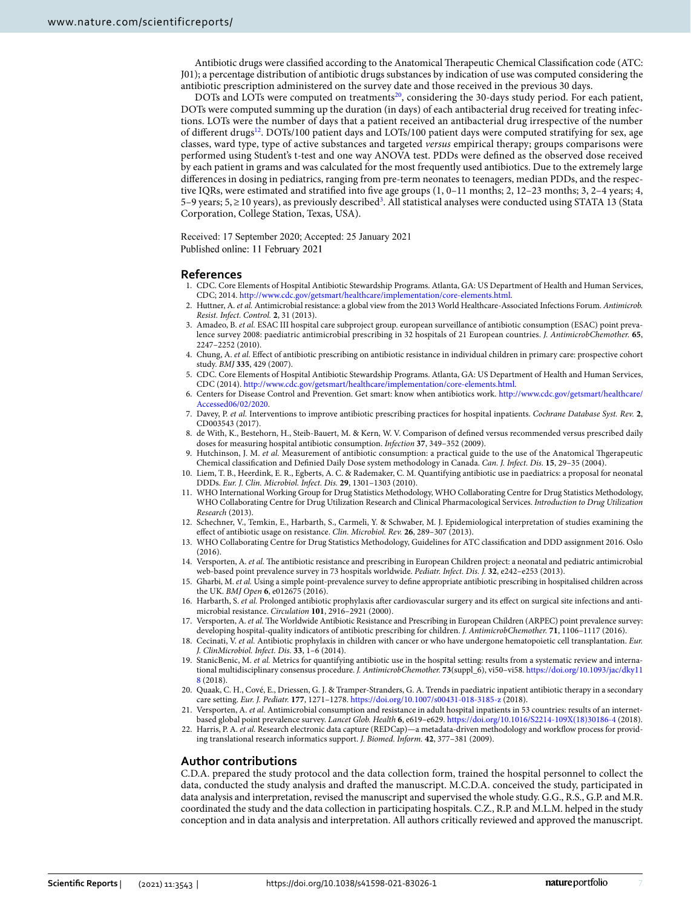Antibiotic drugs were classified according to the Anatomical Therapeutic Chemical Classification code (ATC: J01); a percentage distribution of antibiotic drugs substances by indication of use was computed considering the antibiotic prescription administered on the survey date and those received in the previous 30 days.

DOTs and LOTs were computed on treatments<sup>20</sup>, considering the 30-days study period. For each patient, DOTs were computed summing up the duration (in days) of each antibacterial drug received for treating infections. LOTs were the number of days that a patient received an antibacterial drug irrespective of the number of different drugs<sup>12</sup>. DOTs/100 patient days and LOTs/100 patient days were computed stratifying for sex, age classes, ward type, type of active substances and targeted *versus* empirical therapy; groups comparisons were performed using Student's t-test and one way ANOVA test. PDDs were defned as the observed dose received by each patient in grams and was calculated for the most frequently used antibiotics. Due to the extremely large diferences in dosing in pediatrics, ranging from pre-term neonates to teenagers, median PDDs, and the respective IQRs, were estimated and stratifed into fve age groups (1, 0–11 months; 2, 12–23 months; 3, 2–4 years; 4, 5–9 years; 5,≥10 years), as previously described<sup>3</sup>. All statistical analyses were conducted using STATA 13 (Stata Corporation, College Station, Texas, USA).

Received: 17 September 2020; Accepted: 25 January 2021 Published online: 11 February 2021

#### **References**

- <span id="page-6-0"></span>1. CDC. Core Elements of Hospital Antibiotic Stewardship Programs. Atlanta, GA: US Department of Health and Human Services, CDC; 2014.<http://www.cdc.gov/getsmart/healthcare/implementation/core-elements.html>.
- <span id="page-6-1"></span>2. Huttner, A. *et al.* Antimicrobial resistance: a global view from the 2013 World Healthcare-Associated Infections Forum. *Antimicrob. Resist. Infect. Control.* **2**, 31 (2013).
- <span id="page-6-2"></span>3. Amadeo, B. *et al.* ESAC III hospital care subproject group. european surveillance of antibiotic consumption (ESAC) point prevalence survey 2008: paediatric antimicrobial prescribing in 32 hospitals of 21 European countries. *J. AntimicrobChemother.* **65**, 2247–2252 (2010).
- <span id="page-6-3"></span>4. Chung, A. *et al.* Efect of antibiotic prescribing on antibiotic resistance in individual children in primary care: prospective cohort study. *BMJ* **335**, 429 (2007).
- <span id="page-6-4"></span>5. CDC. Core Elements of Hospital Antibiotic Stewardship Programs. Atlanta, GA: US Department of Health and Human Services, CDC (2014). [http://www.cdc.gov/getsmart/healthcare/implementation/core-elements.html.](http://www.cdc.gov/getsmart/healthcare/implementation/core-elements.html)
- 6. Centers for Disease Control and Prevention. Get smart: know when antibiotics work. [http://www.cdc.gov/getsmart/healthcare/](http://www.cdc.gov/getsmart/healthcare/Accessed06/02/2020) [Accessed06/02/2020](http://www.cdc.gov/getsmart/healthcare/Accessed06/02/2020).
- <span id="page-6-5"></span>7. Davey, P. *et al.* Interventions to improve antibiotic prescribing practices for hospital inpatients. *Cochrane Database Syst. Rev.* **2**, CD003543 (2017).
- <span id="page-6-6"></span>8. de With, K., Bestehorn, H., Steib-Bauert, M. & Kern, W. V. Comparison of defned versus recommended versus prescribed daily doses for measuring hospital antibiotic consumption. *Infection* **37**, 349–352 (2009).
- <span id="page-6-7"></span>9. Hutchinson, J. M. *et al.* Measurement of antibiotic consumption: a practical guide to the use of the Anatomical Thgerapeutic Chemical classifcation and Defnied Daily Dose system methodology in Canada. *Can. J. Infect. Dis.* **15**, 29–35 (2004).
- <span id="page-6-8"></span>10. Liem, T. B., Heerdink, E. R., Egberts, A. C. & Rademaker, C. M. Quantifying antibiotic use in paediatrics: a proposal for neonatal DDDs. *Eur. J. Clin. Microbiol. Infect. Dis.* **29**, 1301–1303 (2010).
- <span id="page-6-9"></span>11. WHO International Working Group for Drug Statistics Methodology, WHO Collaborating Centre for Drug Statistics Methodology, WHO Collaborating Centre for Drug Utilization Research and Clinical Pharmacological Services. *Introduction to Drug Utilization Research* (2013).
- <span id="page-6-10"></span>12. Schechner, V., Temkin, E., Harbarth, S., Carmeli, Y. & Schwaber, M. J. Epidemiological interpretation of studies examining the efect of antibiotic usage on resistance. *Clin. Microbiol. Rev.* **26**, 289–307 (2013).
- <span id="page-6-11"></span>13. WHO Collaborating Centre for Drug Statistics Methodology, Guidelines for ATC classifcation and DDD assignment 2016. Oslo (2016).
- <span id="page-6-12"></span>14. Versporten, A. *et al.* The antibiotic resistance and prescribing in European Children project: a neonatal and pediatric antimicrobial web-based point prevalence survey in 73 hospitals worldwide. *Pediatr. Infect. Dis. J.* **32**, e242–e253 (2013).
- <span id="page-6-13"></span>15. Gharbi, M. *et al.* Using a simple point-prevalence survey to defne appropriate antibiotic prescribing in hospitalised children across the UK. *BMJ Open* **6**, e012675 (2016).
- <span id="page-6-14"></span>16. Harbarth, S. *et al.* Prolonged antibiotic prophylaxis afer cardiovascular surgery and its efect on surgical site infections and antimicrobial resistance. *Circulation* **101**, 2916–2921 (2000).
- <span id="page-6-15"></span>17. Versporten, A. *et al.* The Worldwide Antibiotic Resistance and Prescribing in European Children (ARPEC) point prevalence survey: developing hospital-quality indicators of antibiotic prescribing for children. *J. AntimicrobChemother.* **71**, 1106–1117 (2016).
- <span id="page-6-16"></span>18. Cecinati, V. *et al.* Antibiotic prophylaxis in children with cancer or who have undergone hematopoietic cell transplantation. *Eur. J. ClinMicrobiol. Infect. Dis.* **33**, 1–6 (2014).
- <span id="page-6-17"></span>19. StanicBenic, M. *et al.* Metrics for quantifying antibiotic use in the hospital setting: results from a systematic review and international multidisciplinary consensus procedure. *J. AntimicrobChemother.* **73**(suppl\_6), vi50–vi58. [https://doi.org/10.1093/jac/dky11](https://doi.org/10.1093/jac/dky118) [8](https://doi.org/10.1093/jac/dky118) (2018).
- <span id="page-6-18"></span>20. Quaak, C. H., Cové, E., Driessen, G. J. & Tramper-Stranders, G. A. Trends in paediatric inpatient antibiotic therapy in a secondary care setting. *Eur. J. Pediatr.* **177**, 1271–1278.<https://doi.org/10.1007/s00431-018-3185-z>(2018).
- <span id="page-6-19"></span>21. Versporten, A. *et al.* Antimicrobial consumption and resistance in adult hospital inpatients in 53 countries: results of an internetbased global point prevalence survey. *Lancet Glob. Health* **6**, e619–e629. [https://doi.org/10.1016/S2214-109X\(18\)30186-4](https://doi.org/10.1016/S2214-109X(18)30186-4) (2018).
- <span id="page-6-20"></span>22. Harris, P. A. *et al.* Research electronic data capture (REDCap)—a metadata-driven methodology and workflow process for providing translational research informatics support. *J. Biomed. Inform.* **42**, 377–381 (2009).

#### **Author contributions**

C.D.A. prepared the study protocol and the data collection form, trained the hospital personnel to collect the data, conducted the study analysis and drafed the manuscript. M.C.D.A. conceived the study, participated in data analysis and interpretation, revised the manuscript and supervised the whole study. G.G., R.S., G.P. and M.R. coordinated the study and the data collection in participating hospitals. C.Z., R.P. and M.L.M. helped in the study conception and in data analysis and interpretation. All authors critically reviewed and approved the manuscript.

7